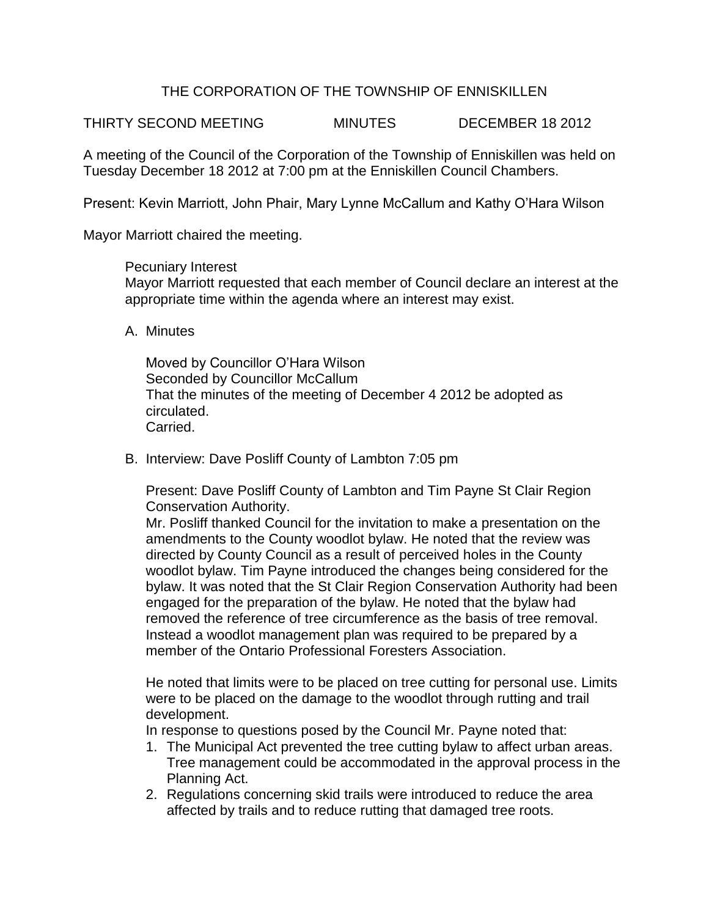## THE CORPORATION OF THE TOWNSHIP OF ENNISKILLEN

THIRTY SECOND MEETING MINUTES DECEMBER 18 2012

A meeting of the Council of the Corporation of the Township of Enniskillen was held on Tuesday December 18 2012 at 7:00 pm at the Enniskillen Council Chambers.

Present: Kevin Marriott, John Phair, Mary Lynne McCallum and Kathy O'Hara Wilson

Mayor Marriott chaired the meeting.

Pecuniary Interest Mayor Marriott requested that each member of Council declare an interest at the appropriate time within the agenda where an interest may exist.

A. Minutes

Moved by Councillor O'Hara Wilson Seconded by Councillor McCallum That the minutes of the meeting of December 4 2012 be adopted as circulated. Carried.

B. Interview: Dave Posliff County of Lambton 7:05 pm

Present: Dave Posliff County of Lambton and Tim Payne St Clair Region Conservation Authority.

Mr. Posliff thanked Council for the invitation to make a presentation on the amendments to the County woodlot bylaw. He noted that the review was directed by County Council as a result of perceived holes in the County woodlot bylaw. Tim Payne introduced the changes being considered for the bylaw. It was noted that the St Clair Region Conservation Authority had been engaged for the preparation of the bylaw. He noted that the bylaw had removed the reference of tree circumference as the basis of tree removal. Instead a woodlot management plan was required to be prepared by a member of the Ontario Professional Foresters Association.

He noted that limits were to be placed on tree cutting for personal use. Limits were to be placed on the damage to the woodlot through rutting and trail development.

In response to questions posed by the Council Mr. Payne noted that:

- 1. The Municipal Act prevented the tree cutting bylaw to affect urban areas. Tree management could be accommodated in the approval process in the Planning Act.
- 2. Regulations concerning skid trails were introduced to reduce the area affected by trails and to reduce rutting that damaged tree roots.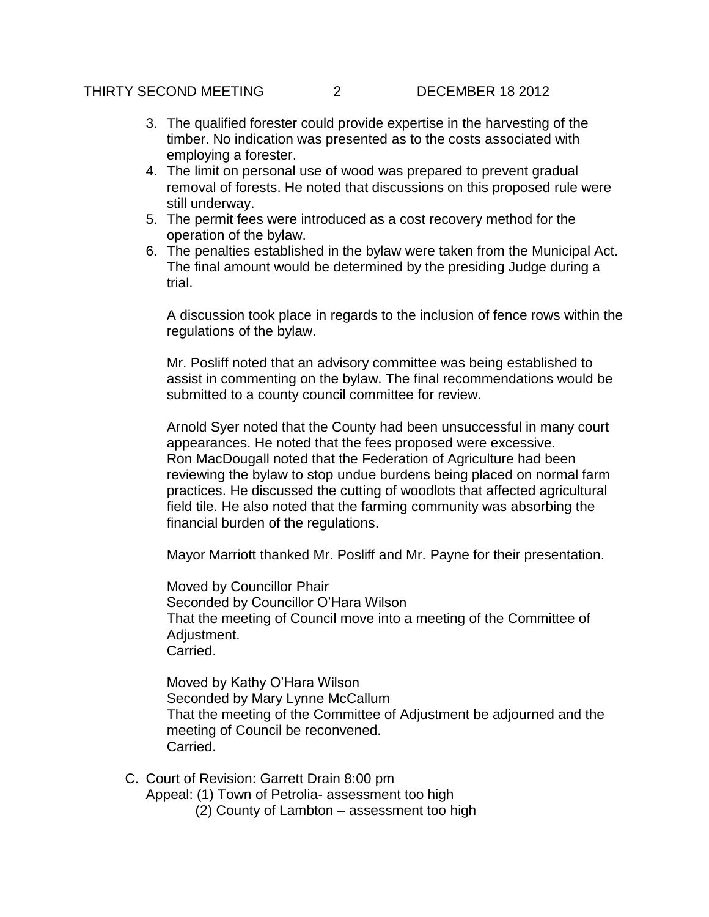- 3. The qualified forester could provide expertise in the harvesting of the timber. No indication was presented as to the costs associated with employing a forester.
- 4. The limit on personal use of wood was prepared to prevent gradual removal of forests. He noted that discussions on this proposed rule were still underway.
- 5. The permit fees were introduced as a cost recovery method for the operation of the bylaw.
- 6. The penalties established in the bylaw were taken from the Municipal Act. The final amount would be determined by the presiding Judge during a trial.

A discussion took place in regards to the inclusion of fence rows within the regulations of the bylaw.

Mr. Posliff noted that an advisory committee was being established to assist in commenting on the bylaw. The final recommendations would be submitted to a county council committee for review.

Arnold Syer noted that the County had been unsuccessful in many court appearances. He noted that the fees proposed were excessive. Ron MacDougall noted that the Federation of Agriculture had been reviewing the bylaw to stop undue burdens being placed on normal farm practices. He discussed the cutting of woodlots that affected agricultural field tile. He also noted that the farming community was absorbing the financial burden of the regulations.

Mayor Marriott thanked Mr. Posliff and Mr. Payne for their presentation.

Moved by Councillor Phair Seconded by Councillor O'Hara Wilson That the meeting of Council move into a meeting of the Committee of Adjustment. Carried.

Moved by Kathy O'Hara Wilson Seconded by Mary Lynne McCallum That the meeting of the Committee of Adjustment be adjourned and the meeting of Council be reconvened. Carried.

- C. Court of Revision: Garrett Drain 8:00 pm
	- Appeal: (1) Town of Petrolia- assessment too high
		- (2) County of Lambton assessment too high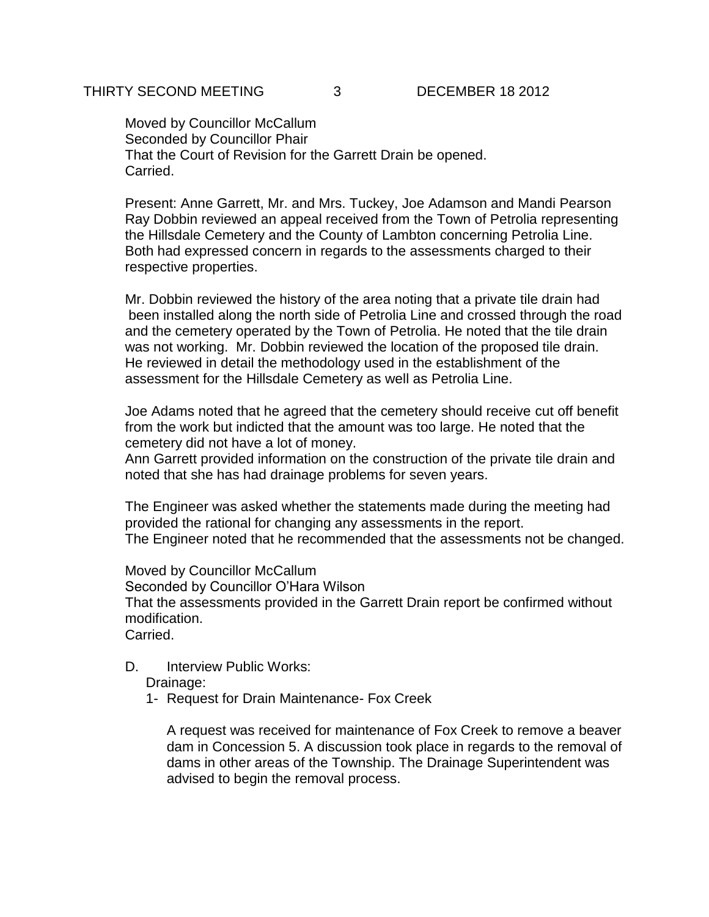Moved by Councillor McCallum Seconded by Councillor Phair That the Court of Revision for the Garrett Drain be opened. Carried.

Present: Anne Garrett, Mr. and Mrs. Tuckey, Joe Adamson and Mandi Pearson Ray Dobbin reviewed an appeal received from the Town of Petrolia representing the Hillsdale Cemetery and the County of Lambton concerning Petrolia Line. Both had expressed concern in regards to the assessments charged to their respective properties.

Mr. Dobbin reviewed the history of the area noting that a private tile drain had been installed along the north side of Petrolia Line and crossed through the road and the cemetery operated by the Town of Petrolia. He noted that the tile drain was not working. Mr. Dobbin reviewed the location of the proposed tile drain. He reviewed in detail the methodology used in the establishment of the assessment for the Hillsdale Cemetery as well as Petrolia Line.

Joe Adams noted that he agreed that the cemetery should receive cut off benefit from the work but indicted that the amount was too large. He noted that the cemetery did not have a lot of money.

Ann Garrett provided information on the construction of the private tile drain and noted that she has had drainage problems for seven years.

The Engineer was asked whether the statements made during the meeting had provided the rational for changing any assessments in the report. The Engineer noted that he recommended that the assessments not be changed.

Moved by Councillor McCallum Seconded by Councillor O'Hara Wilson That the assessments provided in the Garrett Drain report be confirmed without modification.

Carried.

D. Interview Public Works:

Drainage:

1- Request for Drain Maintenance- Fox Creek

A request was received for maintenance of Fox Creek to remove a beaver dam in Concession 5. A discussion took place in regards to the removal of dams in other areas of the Township. The Drainage Superintendent was advised to begin the removal process.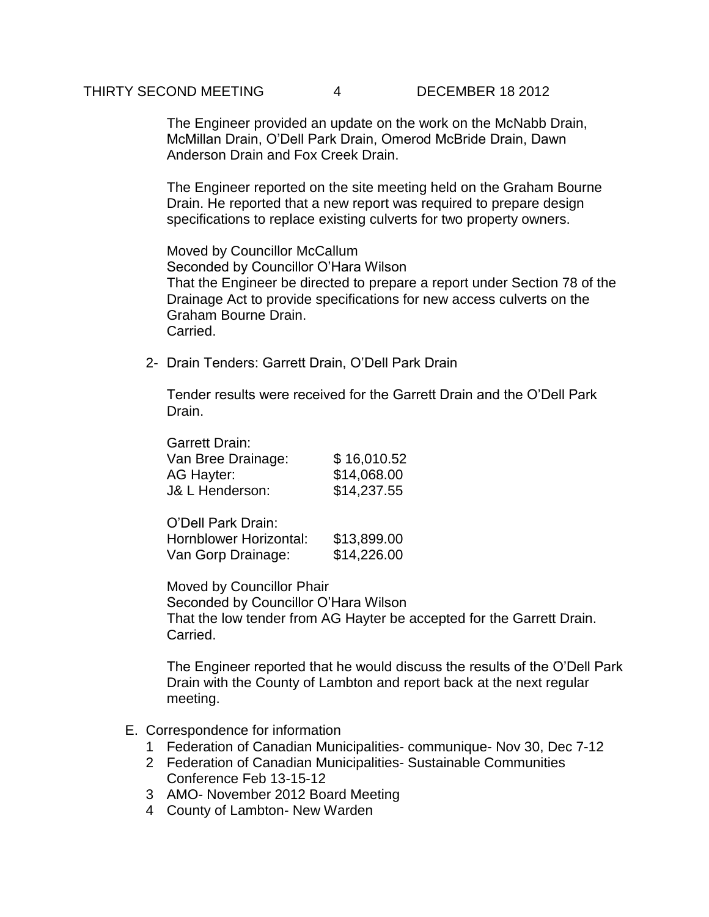The Engineer provided an update on the work on the McNabb Drain, McMillan Drain, O'Dell Park Drain, Omerod McBride Drain, Dawn Anderson Drain and Fox Creek Drain.

The Engineer reported on the site meeting held on the Graham Bourne Drain. He reported that a new report was required to prepare design specifications to replace existing culverts for two property owners.

Moved by Councillor McCallum Seconded by Councillor O'Hara Wilson That the Engineer be directed to prepare a report under Section 78 of the Drainage Act to provide specifications for new access culverts on the Graham Bourne Drain. **Carried** 

2- Drain Tenders: Garrett Drain, O'Dell Park Drain

Tender results were received for the Garrett Drain and the O'Dell Park Drain.

| <b>Garrett Drain:</b>      |             |
|----------------------------|-------------|
| Van Bree Drainage:         | \$16,010.52 |
| AG Hayter:                 | \$14,068.00 |
| <b>J&amp; L Henderson:</b> | \$14,237.55 |

O'Dell Park Drain: Hornblower Horizontal: \$13,899.00 Van Gorp Drainage: \$14,226.00

Moved by Councillor Phair Seconded by Councillor O'Hara Wilson That the low tender from AG Hayter be accepted for the Garrett Drain. Carried.

The Engineer reported that he would discuss the results of the O'Dell Park Drain with the County of Lambton and report back at the next regular meeting.

- E. Correspondence for information
	- 1 Federation of Canadian Municipalities- communique- Nov 30, Dec 7-12
	- 2 Federation of Canadian Municipalities- Sustainable Communities Conference Feb 13-15-12
	- 3 AMO- November 2012 Board Meeting
	- 4 County of Lambton- New Warden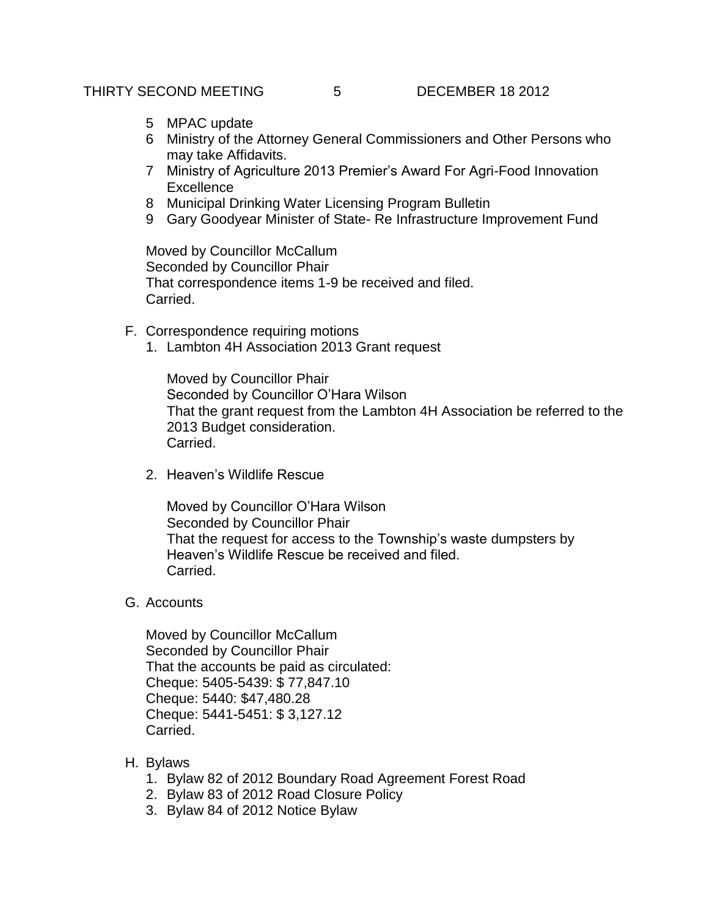- 5 MPAC update
- 6 Ministry of the Attorney General Commissioners and Other Persons who may take Affidavits.
- 7 Ministry of Agriculture 2013 Premier's Award For Agri-Food Innovation **Excellence**
- 8 Municipal Drinking Water Licensing Program Bulletin
- 9 Gary Goodyear Minister of State- Re Infrastructure Improvement Fund

Moved by Councillor McCallum Seconded by Councillor Phair That correspondence items 1-9 be received and filed. Carried.

- F. Correspondence requiring motions
	- 1. Lambton 4H Association 2013 Grant request

Moved by Councillor Phair Seconded by Councillor O'Hara Wilson That the grant request from the Lambton 4H Association be referred to the 2013 Budget consideration. Carried.

2. Heaven's Wildlife Rescue

Moved by Councillor O'Hara Wilson Seconded by Councillor Phair That the request for access to the Township's waste dumpsters by Heaven's Wildlife Rescue be received and filed. **Carried** 

G. Accounts

Moved by Councillor McCallum Seconded by Councillor Phair That the accounts be paid as circulated: Cheque: 5405-5439: \$ 77,847.10 Cheque: 5440: \$47,480.28 Cheque: 5441-5451: \$ 3,127.12 Carried.

- H. Bylaws
	- 1. Bylaw 82 of 2012 Boundary Road Agreement Forest Road
	- 2. Bylaw 83 of 2012 Road Closure Policy
	- 3. Bylaw 84 of 2012 Notice Bylaw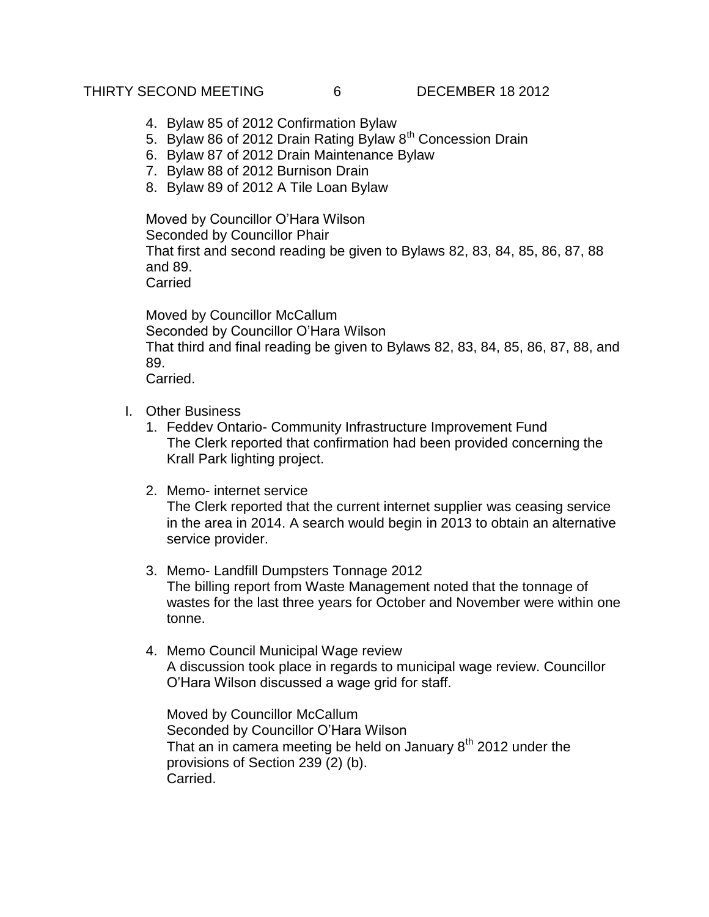## THIRTY SECOND MEETING 6 DECEMBER 18 2012

- 4. Bylaw 85 of 2012 Confirmation Bylaw
- 5. Bylaw 86 of 2012 Drain Rating Bylaw  $8<sup>th</sup>$  Concession Drain
- 6. Bylaw 87 of 2012 Drain Maintenance Bylaw
- 7. Bylaw 88 of 2012 Burnison Drain
- 8. Bylaw 89 of 2012 A Tile Loan Bylaw

Moved by Councillor O'Hara Wilson Seconded by Councillor Phair That first and second reading be given to Bylaws 82, 83, 84, 85, 86, 87, 88 and 89. Carried

Moved by Councillor McCallum Seconded by Councillor O'Hara Wilson That third and final reading be given to Bylaws 82, 83, 84, 85, 86, 87, 88, and 89. Carried.

- I. Other Business
	- 1. Feddev Ontario- Community Infrastructure Improvement Fund The Clerk reported that confirmation had been provided concerning the Krall Park lighting project.
	- 2. Memo- internet service The Clerk reported that the current internet supplier was ceasing service in the area in 2014. A search would begin in 2013 to obtain an alternative service provider.
	- 3. Memo- Landfill Dumpsters Tonnage 2012 The billing report from Waste Management noted that the tonnage of wastes for the last three years for October and November were within one tonne.
	- 4. Memo Council Municipal Wage review A discussion took place in regards to municipal wage review. Councillor O'Hara Wilson discussed a wage grid for staff.

Moved by Councillor McCallum Seconded by Councillor O'Hara Wilson That an in camera meeting be held on January  $8<sup>th</sup>$  2012 under the provisions of Section 239 (2) (b). Carried.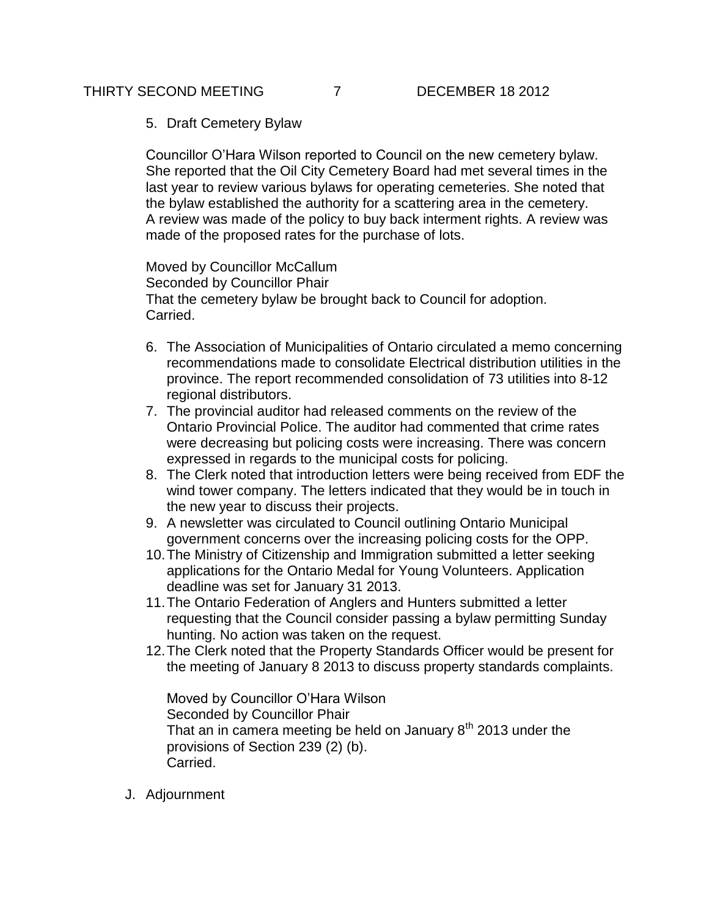5. Draft Cemetery Bylaw

Councillor O'Hara Wilson reported to Council on the new cemetery bylaw. She reported that the Oil City Cemetery Board had met several times in the last year to review various bylaws for operating cemeteries. She noted that the bylaw established the authority for a scattering area in the cemetery. A review was made of the policy to buy back interment rights. A review was made of the proposed rates for the purchase of lots.

Moved by Councillor McCallum Seconded by Councillor Phair That the cemetery bylaw be brought back to Council for adoption. Carried.

- 6. The Association of Municipalities of Ontario circulated a memo concerning recommendations made to consolidate Electrical distribution utilities in the province. The report recommended consolidation of 73 utilities into 8-12 regional distributors.
- 7. The provincial auditor had released comments on the review of the Ontario Provincial Police. The auditor had commented that crime rates were decreasing but policing costs were increasing. There was concern expressed in regards to the municipal costs for policing.
- 8. The Clerk noted that introduction letters were being received from EDF the wind tower company. The letters indicated that they would be in touch in the new year to discuss their projects.
- 9. A newsletter was circulated to Council outlining Ontario Municipal government concerns over the increasing policing costs for the OPP.
- 10.The Ministry of Citizenship and Immigration submitted a letter seeking applications for the Ontario Medal for Young Volunteers. Application deadline was set for January 31 2013.
- 11.The Ontario Federation of Anglers and Hunters submitted a letter requesting that the Council consider passing a bylaw permitting Sunday hunting. No action was taken on the request.
- 12.The Clerk noted that the Property Standards Officer would be present for the meeting of January 8 2013 to discuss property standards complaints.

Moved by Councillor O'Hara Wilson Seconded by Councillor Phair That an in camera meeting be held on January  $8<sup>th</sup>$  2013 under the provisions of Section 239 (2) (b). Carried.

J. Adjournment